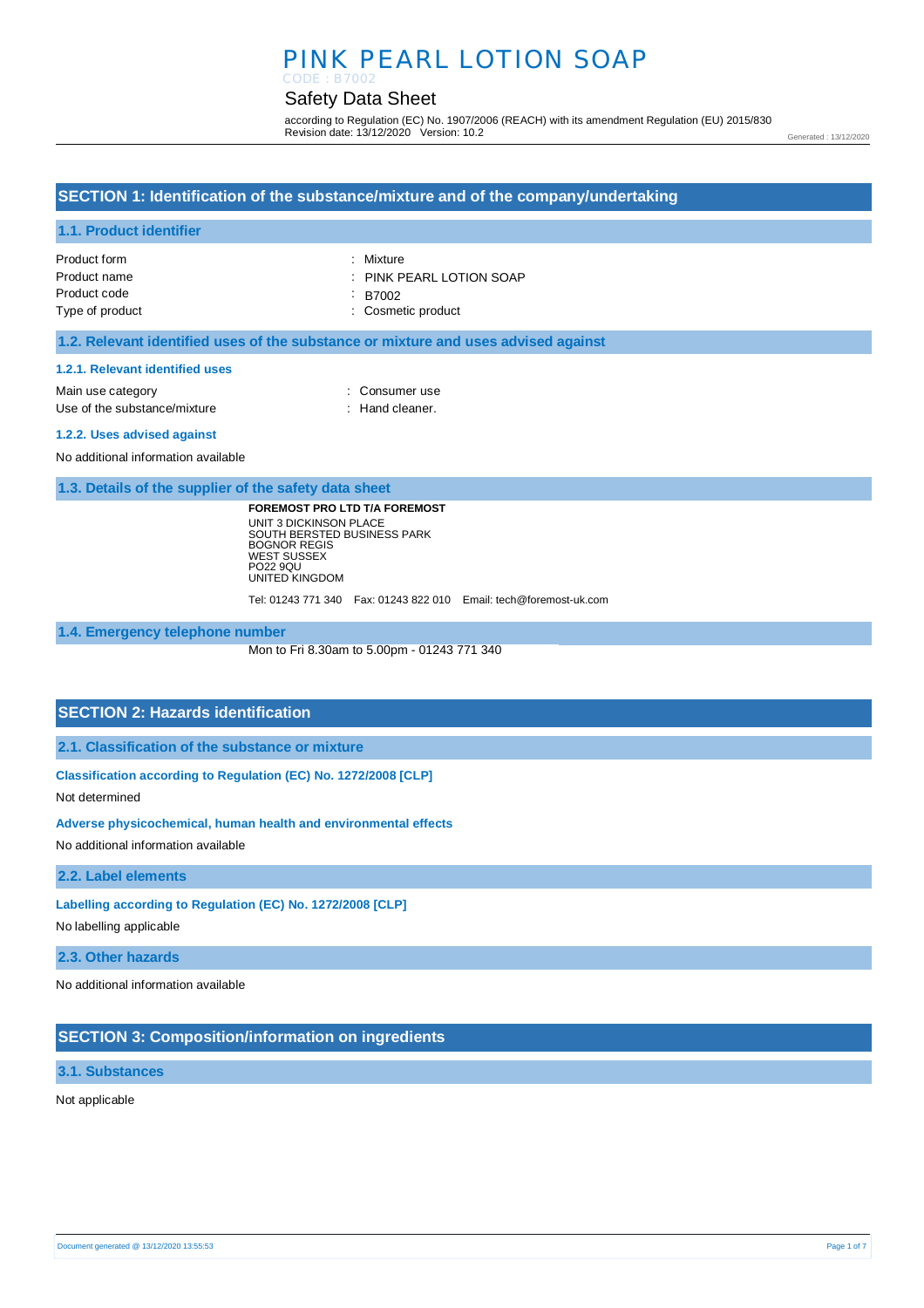# PINK PEARL LOTION SOAP

#### Safety Data Sheet CODE : B7002

according to Regulation (EC) No. 1907/2006 (REACH) with its amendment Regulation (EU) 2015/830 Revision date: 13/12/2020 Version: 10.2

Generated : 13/12/2020

### **SECTION 1: Identification of the substance/mixture and of the company/undertaking**

### **1.1. Product identifier**

| Product form    | : Mixture                           |
|-----------------|-------------------------------------|
| Product name    | $\therefore$ PINK PEARL LOTION SOAP |
| Product code    | : B7002                             |
| Type of product | : Cosmetic product                  |

### **1.2. Relevant identified uses of the substance or mixture and uses advised against**

#### **1.2.1. Relevant identified uses**

Main use category **Main use category CONSULARE 2018** Use of the substance/mixture : Hand cleaner.

#### **1.2.2. Uses advised against**

No additional information available

### **1.3. Details of the supplier of the safety data sheet**

**FOREMOST PRO LTD T/A FOREMOST** UNIT 3 DICKINSON PLACE SOUTH BERSTED BUSINESS PARK BOGNOR REGIS WEST SUSSEX PO22 9QU UNITED KINGDOM

Tel: 01243 771 340 Fax: 01243 822 010 Email: tech@foremost-uk.com

### **1.4. Emergency telephone number**

Mon to Fri 8.30am to 5.00pm - 01243 771 340

### **SECTION 2: Hazards identification**

**2.1. Classification of the substance or mixture**

**Classification according to Regulation (EC) No. 1272/2008 [CLP]** 

Not determined

#### **Adverse physicochemical, human health and environmental effects**

No additional information available

### **2.2. Label elements**

**Labelling according to Regulation (EC) No. 1272/2008 [CLP]** 

No labelling applicable

#### **2.3. Other hazards**

No additional information available

### **SECTION 3: Composition/information on ingredients**

#### **3.1. Substances**

Not applicable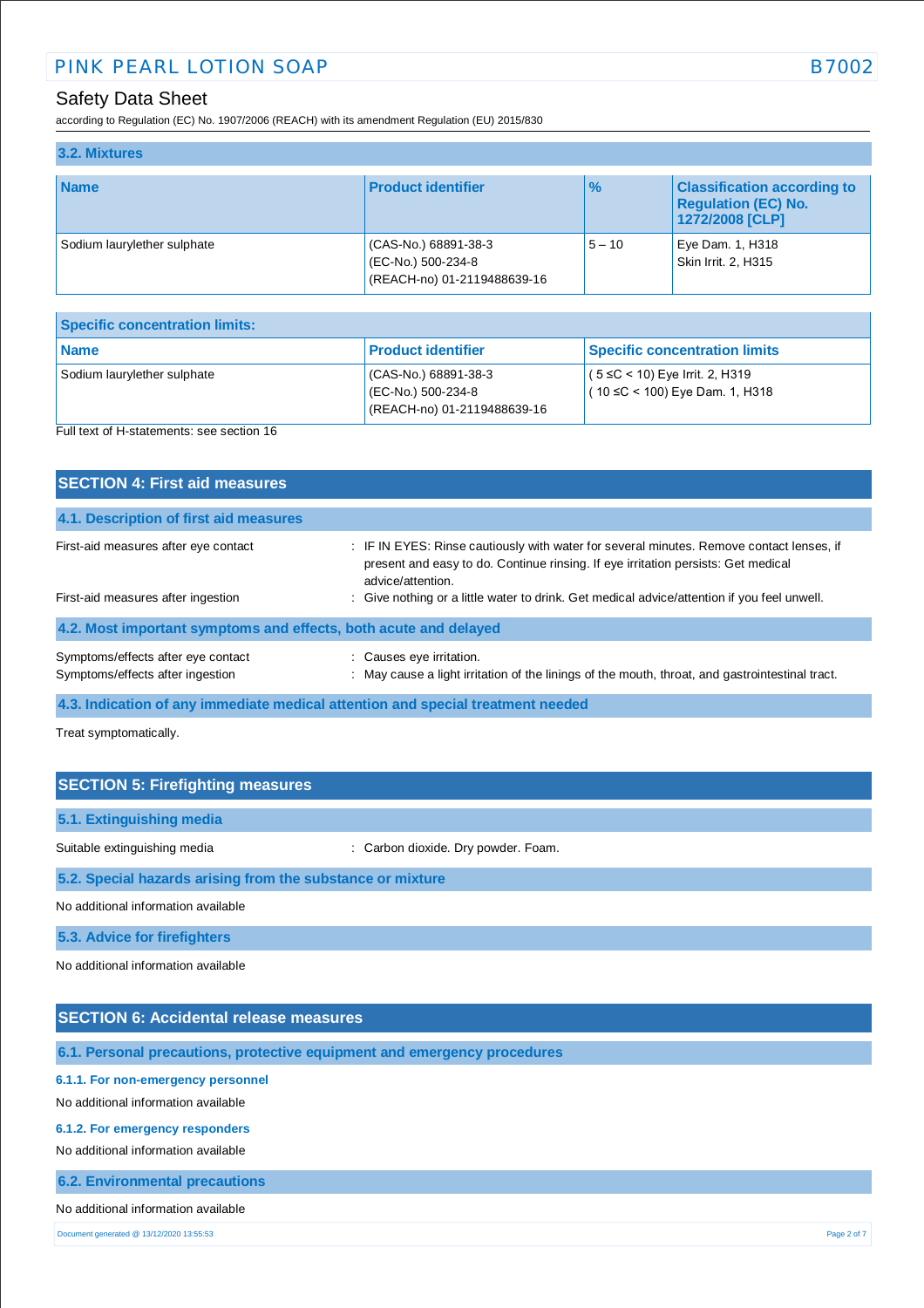according to Regulation (EC) No. 1907/2006 (REACH) with its amendment Regulation (EU) 2015/830

| 3.2. Mixtures               |                                                                           |               |                                                                                     |
|-----------------------------|---------------------------------------------------------------------------|---------------|-------------------------------------------------------------------------------------|
| <b>Name</b>                 | <b>Product identifier</b>                                                 | $\frac{9}{6}$ | <b>Classification according to</b><br><b>Regulation (EC) No.</b><br>1272/2008 [CLP] |
| Sodium laurylether sulphate | (CAS-No.) 68891-38-3<br>(EC-No.) 500-234-8<br>(REACH-no) 01-2119488639-16 | $5 - 10$      | Eye Dam. 1, H318<br>Skin Irrit. 2, H315                                             |

| <b>Specific concentration limits:</b>     |                                                                           |                                                                           |
|-------------------------------------------|---------------------------------------------------------------------------|---------------------------------------------------------------------------|
| Name                                      | <b>Product identifier</b>                                                 | <b>Specific concentration limits</b>                                      |
| Sodium laurylether sulphate               | (CAS-No.) 68891-38-3<br>(EC-No.) 500-234-8<br>(REACH-no) 01-2119488639-16 | $(5 ≤ C < 10)$ Eye Irrit. 2, H319<br>$(10 \leq C < 100)$ Eye Dam. 1, H318 |
| Full text of H-statements: see section 16 |                                                                           |                                                                           |

| <b>SECTION 4: First aid measures</b>                                       |                                                                                                                                                                                                                                                                                                   |
|----------------------------------------------------------------------------|---------------------------------------------------------------------------------------------------------------------------------------------------------------------------------------------------------------------------------------------------------------------------------------------------|
| 4.1. Description of first aid measures                                     |                                                                                                                                                                                                                                                                                                   |
| First-aid measures after eye contact<br>First-aid measures after ingestion | : IF IN EYES: Rinse cautiously with water for several minutes. Remove contact lenses, if<br>present and easy to do. Continue rinsing. If eye irritation persists: Get medical<br>advice/attention.<br>: Give nothing or a little water to drink. Get medical advice/attention if you feel unwell. |
| 4.2. Most important symptoms and effects, both acute and delayed           |                                                                                                                                                                                                                                                                                                   |
| Symptoms/effects after eye contact<br>Symptoms/effects after ingestion     | Causes eye irritation.<br>: May cause a light irritation of the linings of the mouth, throat, and gastrointestinal tract.                                                                                                                                                                         |

**4.3. Indication of any immediate medical attention and special treatment needed**

Treat symptomatically.

| <b>SECTION 5: Firefighting measures</b>                    |                                     |  |
|------------------------------------------------------------|-------------------------------------|--|
| 5.1. Extinguishing media                                   |                                     |  |
| Suitable extinguishing media                               | : Carbon dioxide. Dry powder. Foam. |  |
| 5.2. Special hazards arising from the substance or mixture |                                     |  |
| No additional information available                        |                                     |  |
| 5.3. Advice for firefighters                               |                                     |  |

No additional information available

## **SECTION 6: Accidental release measures**

**6.1. Personal precautions, protective equipment and emergency procedures**

### **6.1.1. For non-emergency personnel**

No additional information available

#### **6.1.2. For emergency responders**

No additional information available

**6.2. Environmental precautions**

#### No additional information available

Document generated @ 13/12/2020 13:55:53 Page 2 of 7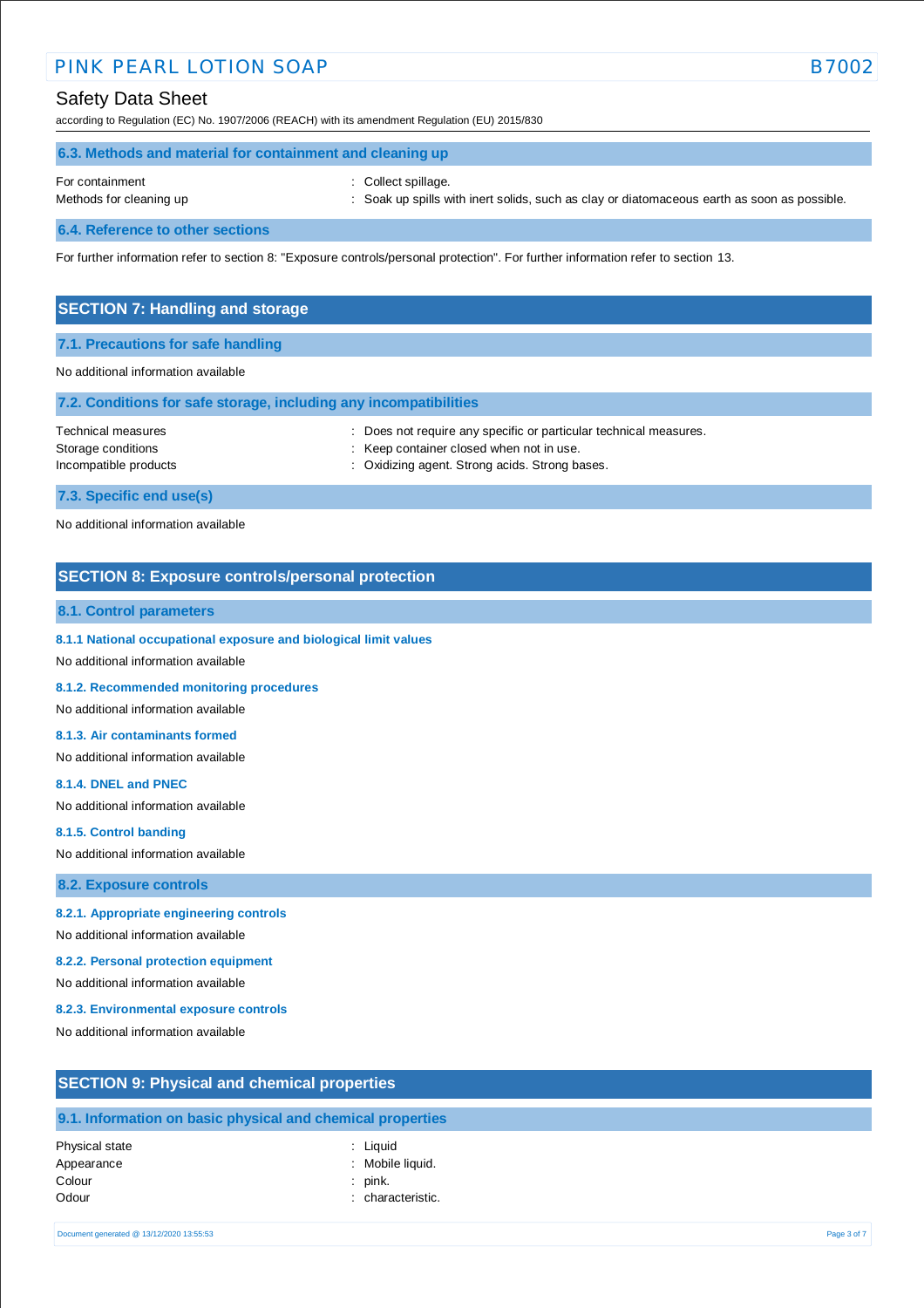# PINK PEARL LOTION SOAP B7002

# Safety Data Sheet

according to Regulation (EC) No. 1907/2006 (REACH) with its amendment Regulation (EU) 2015/830

| 6.3. Methods and material for containment and cleaning up |                                                                                             |  |  |  |
|-----------------------------------------------------------|---------------------------------------------------------------------------------------------|--|--|--|
| For containment                                           | : Collect spillage.                                                                         |  |  |  |
| Methods for cleaning up                                   | : Soak up spills with inert solids, such as clay or diatomaceous earth as soon as possible. |  |  |  |

**6.4. Reference to other sections**

For further information refer to section 8: "Exposure controls/personal protection". For further information refer to section 13.

### **SECTION 7: Handling and storage**

#### **7.1. Precautions for safe handling**

### No additional information available

| 7.2. Conditions for safe storage, including any incompatibilities |                                                                                                                                                                 |
|-------------------------------------------------------------------|-----------------------------------------------------------------------------------------------------------------------------------------------------------------|
| Technical measures<br>Storage conditions<br>Incompatible products | : Does not require any specific or particular technical measures.<br>: Keep container closed when not in use.<br>: Oxidizing agent. Strong acids. Strong bases. |
| 7.3. Specific end use(s)                                          |                                                                                                                                                                 |
| No additional information available                               |                                                                                                                                                                 |

# **SECTION 8: Exposure controls/personal protection**

### **8.1. Control parameters**

**8.1.1 National occupational exposure and biological limit values** 

No additional information available

#### **8.1.2. Recommended monitoring procedures**

No additional information available

#### **8.1.3. Air contaminants formed**

No additional information available

#### **8.1.4. DNEL and PNEC**

No additional information available

#### **8.1.5. Control banding**

No additional information available

#### **8.2. Exposure controls**

#### **8.2.1. Appropriate engineering controls**

No additional information available

#### **8.2.2. Personal protection equipment**

No additional information available

#### **8.2.3. Environmental exposure controls**

No additional information available

# **SECTION 9: Physical and chemical properties**

# **9.1. Information on basic physical and chemical properties**

| Physical state |
|----------------|
| Appearance     |
| Colour         |
| Odour          |

- : Liquid : Mobile liquid.
- : pink.
	- : characteristic.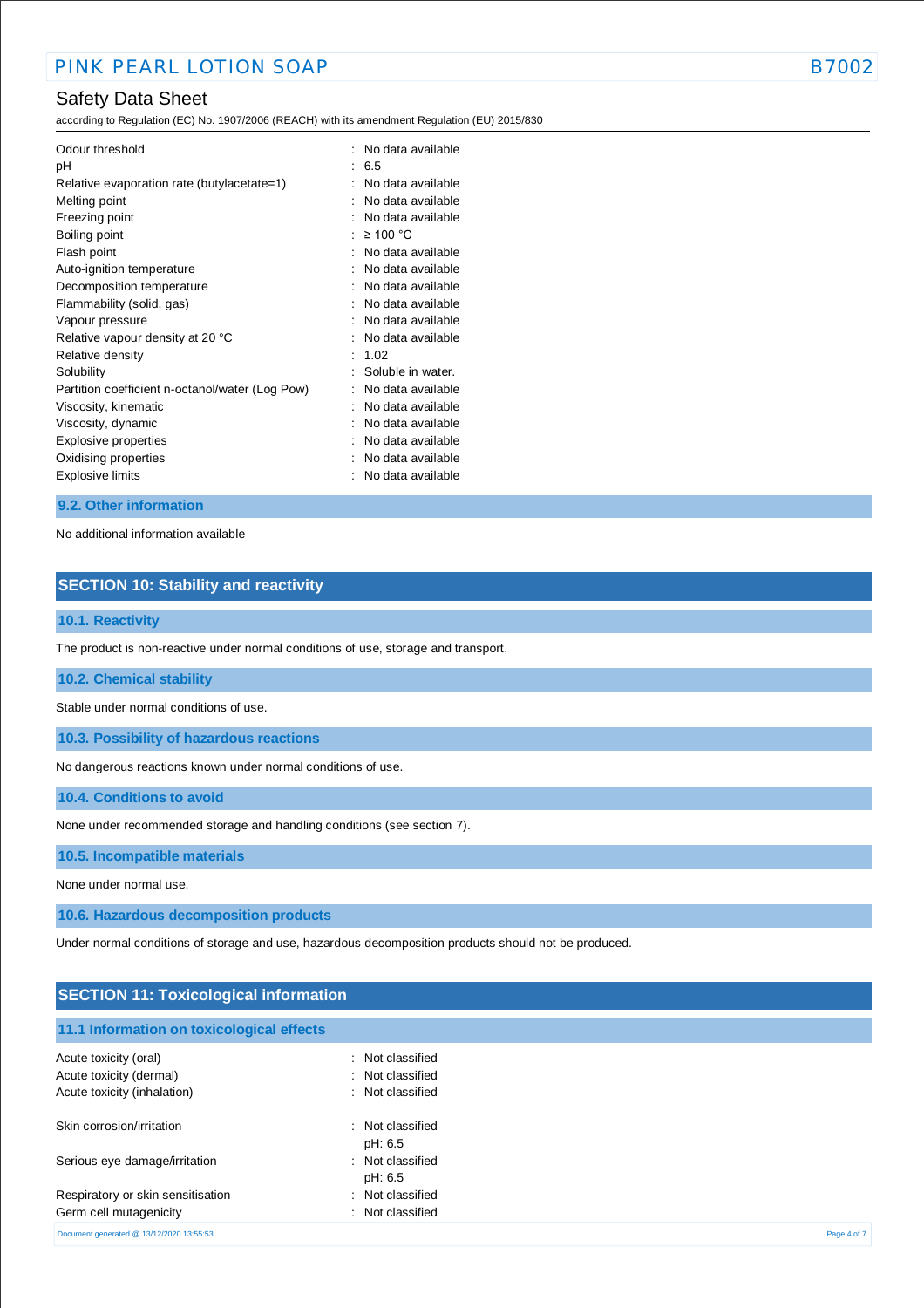according to Regulation (EC) No. 1907/2006 (REACH) with its amendment Regulation (EU) 2015/830

| Odour threshold<br>рH                           | ÷ | No data available<br>6.5<br>No data available |
|-------------------------------------------------|---|-----------------------------------------------|
| Relative evaporation rate (butylacetate=1)      |   |                                               |
| Melting point                                   |   | No data available                             |
| Freezing point                                  |   | No data available                             |
| Boiling point                                   |   | $\geq 100$ °C                                 |
| Flash point                                     |   | No data available                             |
| Auto-ignition temperature                       |   | No data available                             |
| Decomposition temperature                       |   | No data available                             |
| Flammability (solid, gas)                       |   | No data available                             |
| Vapour pressure                                 |   | No data available                             |
| Relative vapour density at 20 °C                |   | No data available                             |
| Relative density                                |   | 1.02                                          |
| Solubility                                      |   | Soluble in water.                             |
| Partition coefficient n-octanol/water (Log Pow) |   | No data available                             |
| Viscosity, kinematic                            |   | No data available                             |
| Viscosity, dynamic                              |   | No data available                             |
| Explosive properties                            |   | No data available                             |
| Oxidising properties                            |   | No data available                             |
| <b>Explosive limits</b>                         |   | No data available                             |

#### **9.2. Other information**

No additional information available

# **SECTION 10: Stability and reactivity**

### **10.1. Reactivity**

The product is non-reactive under normal conditions of use, storage and transport.

#### **10.2. Chemical stability**

Stable under normal conditions of use.

**10.3. Possibility of hazardous reactions**

No dangerous reactions known under normal conditions of use.

**10.4. Conditions to avoid**

None under recommended storage and handling conditions (see section 7).

**10.5. Incompatible materials**

None under normal use.

**10.6. Hazardous decomposition products**

Under normal conditions of storage and use, hazardous decomposition products should not be produced.

# **SECTION 11: Toxicological information**

**11.1 Information on toxicological effects**

| <b>THE MUSICAL CHARGE CONTROL</b>        |                             |             |
|------------------------------------------|-----------------------------|-------------|
| Acute toxicity (oral)                    | : Not classified            |             |
| Acute toxicity (dermal)                  | : Not classified            |             |
| Acute toxicity (inhalation)              | : Not classified            |             |
| Skin corrosion/irritation                | : Not classified<br>pH: 6.5 |             |
| Serious eye damage/irritation            | : Not classified<br>pH: 6.5 |             |
| Respiratory or skin sensitisation        | : Not classified            |             |
| Germ cell mutagenicity                   | : Not classified            |             |
| Document generated @ 13/12/2020 13:55:53 |                             | Page 4 of 7 |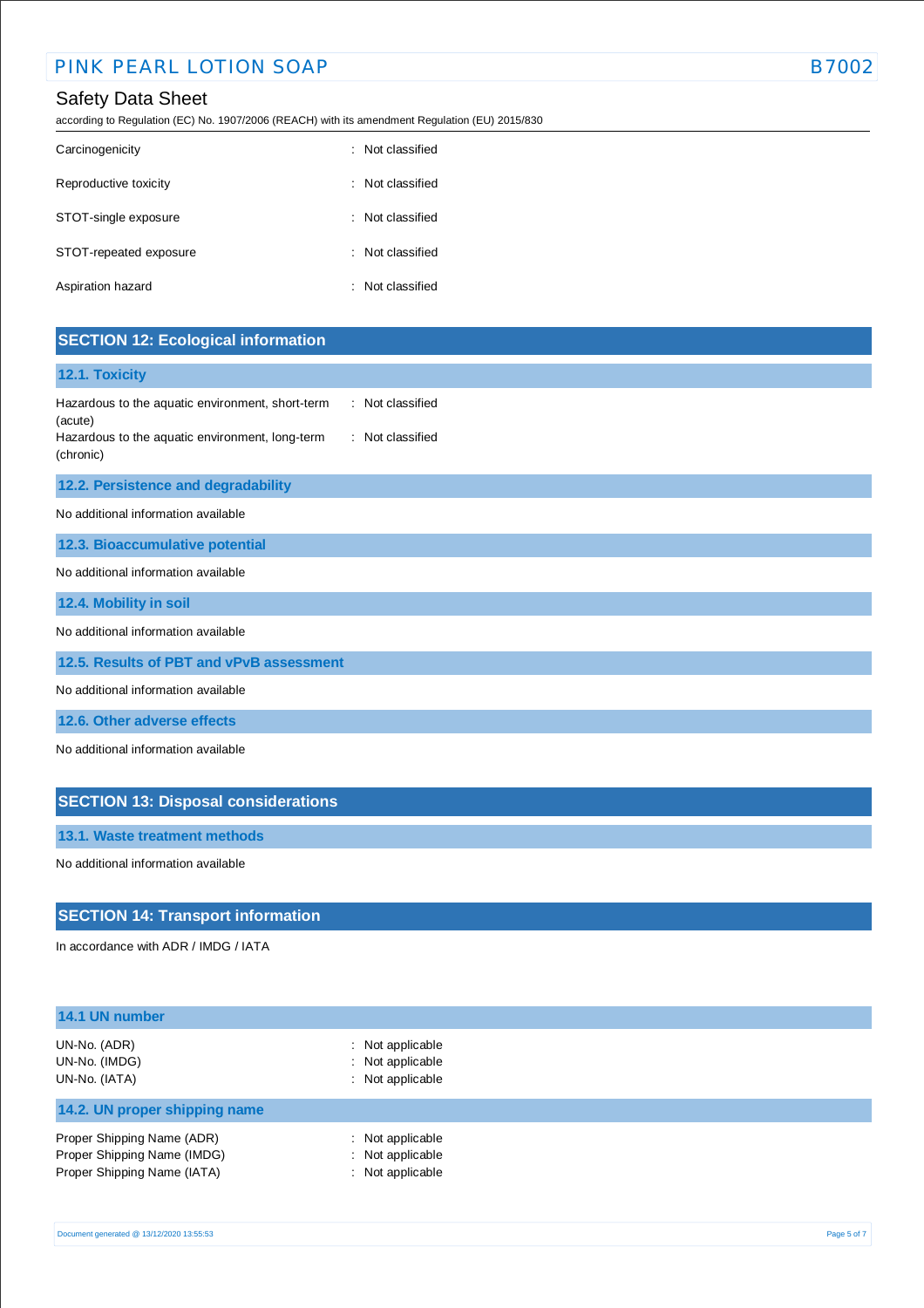according to Regulation (EC) No. 1907/2006 (REACH) with its amendment Regulation (EU) 2015/830

| Carcinogenicity        | : Not classified |
|------------------------|------------------|
| Reproductive toxicity  | Not classified   |
| STOT-single exposure   | : Not classified |
| STOT-repeated exposure | : Not classified |
| Aspiration hazard      | Not classified   |

# **SECTION 12: Ecological information**

### **12.1. Toxicity**

| Hazardous to the aquatic environment, short-term | : Not classified |
|--------------------------------------------------|------------------|
| (acute)                                          |                  |
| Hazardous to the aquatic environment, long-term  | : Not classified |
| (chronic)                                        |                  |

### **12.2. Persistence and degradability**

No additional information available

**12.3. Bioaccumulative potential**

No additional information available

**12.4. Mobility in soil**

No additional information available

**12.5. Results of PBT and vPvB assessment**

No additional information available

**12.6. Other adverse effects**

No additional information available

# **SECTION 13: Disposal considerations**

**13.1. Waste treatment methods**

No additional information available

## **SECTION 14: Transport information**

In accordance with ADR / IMDG / IATA

| 14.1 UN number                                                                           |                                                                     |  |
|------------------------------------------------------------------------------------------|---------------------------------------------------------------------|--|
| UN-No. (ADR)<br>UN-No. (IMDG)<br>UN-No. (IATA)                                           | $\therefore$ Not applicable<br>: Not applicable<br>: Not applicable |  |
| 14.2. UN proper shipping name                                                            |                                                                     |  |
| Proper Shipping Name (ADR)<br>Proper Shipping Name (IMDG)<br>Proper Shipping Name (IATA) | : Not applicable<br>: Not applicable<br>: Not applicable            |  |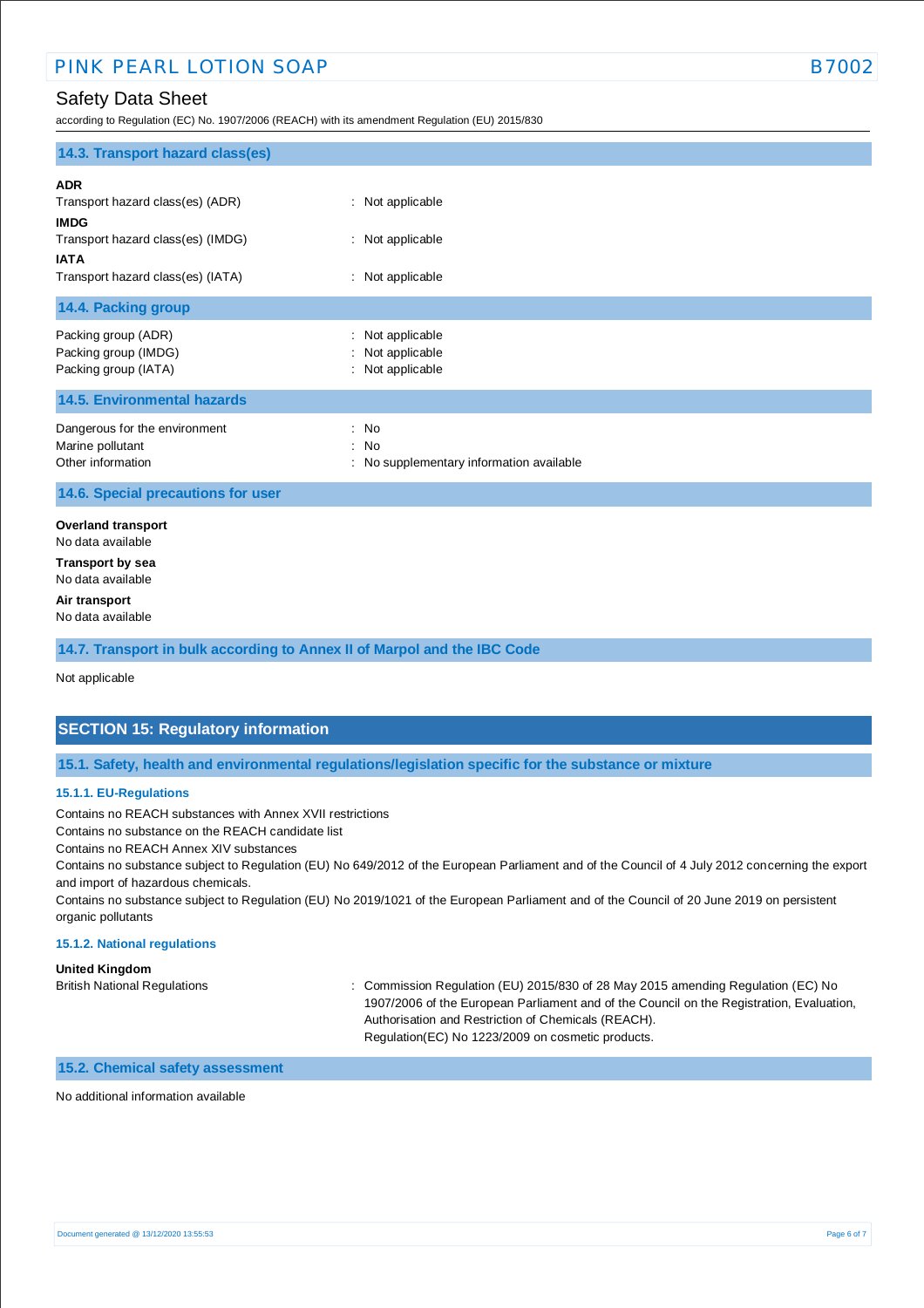according to Regulation (EC) No. 1907/2006 (REACH) with its amendment Regulation (EU) 2015/830

| 14.3. Transport hazard class(es)                                                                                                                       |                                                          |
|--------------------------------------------------------------------------------------------------------------------------------------------------------|----------------------------------------------------------|
| <b>ADR</b><br>Transport hazard class(es) (ADR)<br><b>IMDG</b><br>Transport hazard class(es) (IMDG)<br><b>IATA</b><br>Transport hazard class(es) (IATA) | : Not applicable<br>: Not applicable<br>: Not applicable |
|                                                                                                                                                        |                                                          |
| 14.4. Packing group                                                                                                                                    |                                                          |
| Packing group (ADR)<br>Packing group (IMDG)<br>Packing group (IATA)                                                                                    | Not applicable<br>Not applicable<br>: Not applicable     |
| <b>14.5. Environmental hazards</b>                                                                                                                     |                                                          |
| Dangerous for the environment<br>Marine pollutant<br>Other information                                                                                 | : No<br>: No<br>: No supplementary information available |
| 14.6. Special precautions for user                                                                                                                     |                                                          |
| <b>Overland transport</b><br>No data available<br><b>Transport by sea</b><br>No data available<br>Air transport<br>No data available                   |                                                          |
| 14.7. Transport in bulk according to Annex II of Marpol and the IBC Code                                                                               |                                                          |

Not applicable

## **SECTION 15: Regulatory information**

**15.1. Safety, health and environmental regulations/legislation specific for the substance or mixture**

### **15.1.1. EU-Regulations**

Contains no REACH substances with Annex XVII restrictions

Contains no substance on the REACH candidate list

Contains no REACH Annex XIV substances

Contains no substance subject to Regulation (EU) No 649/2012 of the European Parliament and of the Council of 4 July 2012 concerning the export and import of hazardous chemicals.

Contains no substance subject to Regulation (EU) No 2019/1021 of the European Parliament and of the Council of 20 June 2019 on persistent organic pollutants

#### **15.1.2. National regulations**

**United Kingdom**

British National Regulations : Commission Regulation (EU) 2015/830 of 28 May 2015 amending Regulation (EC) No 1907/2006 of the European Parliament and of the Council on the Registration, Evaluation, Authorisation and Restriction of Chemicals (REACH). Regulation(EC) No 1223/2009 on cosmetic products.

#### **15.2. Chemical safety assessment**

No additional information available